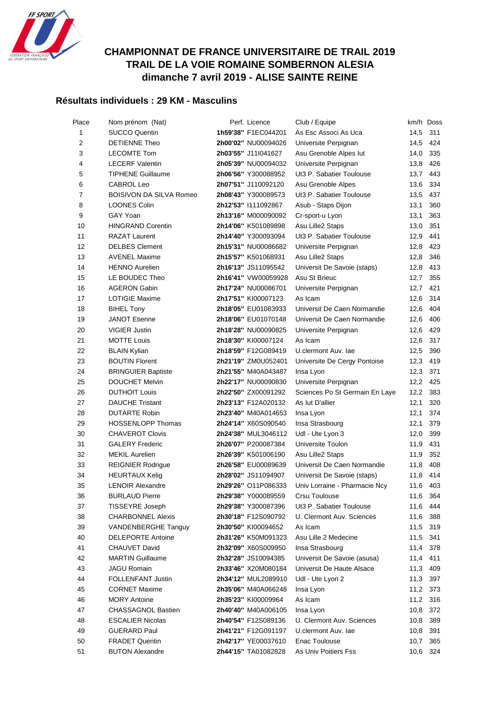

## **CHAMPIONNAT DE FRANCE UNIVERSITAIRE DE TRAIL 2019 TRAIL DE LA VOIE ROMAINE SOMBERNON ALESIA dimanche 7 avril 2019 - ALISE SAINTE REINE**

## **Résultats individuels : 29 KM - Masculins**

| Place          | Nom prénom (Nat)               | Perf. Licence       | Club / Equipe                  |      | km/h Doss |
|----------------|--------------------------------|---------------------|--------------------------------|------|-----------|
| 1              | <b>SUCCO Quentin</b>           | 1h59'38" F1EC044201 | As Esc Associ As Uca           | 14,5 | 311       |
| 2              | <b>DETIENNE Theo</b>           | 2h00'02" NU00094026 | Universite Perpignan           | 14,5 | 424       |
| 3              | <b>LECOMTE Tom</b>             | 2h03'55" J11l041627 | Asu Grenoble Alpes lut         | 14,0 | 335       |
| 4              | <b>LECERF Valentin</b>         | 2h05'39" NU00094032 | Universite Perpignan           | 13,8 | 426       |
| 5              | <b>TIPHENE Guillaume</b>       | 2h06'56" Y300088952 | Ut3 P. Sabatier Toulouse       | 13,7 | 443       |
| 6              | CABROL Leo                     | 2h07'51" J110092120 | Asu Grenoble Alpes             | 13,6 | 334       |
| $\overline{7}$ | <b>BOISIVON DA SILVA Romeo</b> | 2h08'43" Y300089573 | Ut3 P. Sabatier Toulouse       | 13,5 | 437       |
| 8              | <b>LOONES Colin</b>            | 2h12'53" I111092867 | Asub - Staps Dijon             | 13,1 | 360       |
| 9              | GAY Yoan                       | 2h13'16" M000090092 | Cr-sport-u Lyon                | 13,1 | 363       |
| 10             | <b>HINGRAND Corentin</b>       | 2h14'06" K501089898 | Asu Lille2 Staps               | 13,0 | 351       |
| 11             | <b>RAZAT Laurent</b>           | 2h14'40" Y300093094 | Ut3 P. Sabatier Toulouse       | 12,9 | 441       |
| 12             | <b>DELBES Clement</b>          | 2h15'31" NU00086682 | Universite Perpignan           | 12,8 | 423       |
| 13             | <b>AVENEL Maxime</b>           | 2h15'57" K501068931 | Asu Lille2 Staps               | 12,8 | 346       |
| 14             | <b>HENNO Aurelien</b>          | 2h16'13" JS11095542 | Universit De Savoie (staps)    | 12,8 | 413       |
| 15             | LE BOUDEC Theo                 | 2h16'41" VW00059928 | Asu St Brieuc                  | 12,7 | 355       |
| 16             | <b>AGERON Gabin</b>            | 2h17'24" NU00086701 | Universite Perpignan           | 12,7 | 421       |
| 17             | <b>LOTIGIE Maxime</b>          | 2h17'51" KI00007123 | As Icam                        | 12,6 | 314       |
| 18             | <b>BIHEL Tony</b>              | 2h18'05" EU01083933 | Universit De Caen Normandie    | 12,6 | 404       |
| 19             | <b>JANOT Etienne</b>           | 2h18'06" EU01070148 | Universit De Caen Normandie    | 12,6 | 406       |
| 20             | <b>VIGIER Justin</b>           | 2h18'28" NU00090825 | Universite Perpignan           | 12,6 | 429       |
| 21             | <b>MOTTE Louis</b>             | 2h18'30" KI00007124 | As Icam                        | 12,6 | 317       |
| 22             | <b>BLAIN Kylian</b>            | 2h18'59" F12G089419 | U.clermont Auv. lae            | 12,5 | 390       |
| 23             | <b>BOUTIN Florent</b>          | 2h21'19" ZM0U052401 | Universite De Cergy Pontoise   | 12,3 | 419       |
| 24             | <b>BRINGUIER Baptiste</b>      | 2h21'55" M40A043487 | Insa Lyon                      | 12,3 | 371       |
| 25             | <b>DOUCHET Melvin</b>          | 2h22'17" NU00090830 | Universite Perpignan           | 12,2 | 425       |
| 26             | <b>DUTHOIT Louis</b>           | 2h22'50" ZX00091292 | Sciences Po St Germain En Laye | 12,2 | 383       |
| 27             | <b>DAUCHE Tristant</b>         | 2h23'13" F12A020132 | As lut D'allier                | 12,1 | 320       |
| 28             | <b>DUTARTE Robin</b>           | 2h23'40" M40A014653 | Insa Lyon                      | 12,1 | 374       |
| 29             | <b>HOSSENLOPP Thomas</b>       | 2h24'14" X60S090540 | Insa Strasbourg                | 12,1 | 379       |
| 30             | <b>CHAVEROT Clovis</b>         | 2h24'38" MUL3046112 | Udl - Ute Lyon 3               | 12,0 | 399       |
| 31             | <b>GALERY Frederic</b>         | 2h26'07" P200087384 | Universite Toulon              | 11,9 | 431       |
| 32             | <b>MEKIL Aurelien</b>          | 2h26'39" K501006190 | Asu Lille2 Staps               | 11,9 | 352       |
| 33             | <b>REIGNIER Rodrigue</b>       | 2h26'58" EU00089639 | Universit De Caen Normandie    | 11,8 | 408       |
| 34             | <b>HEURTAUX Kelig</b>          | 2h28'02" JS11094907 | Universit De Savoie (staps)    | 11,8 | 414       |
| 35             | <b>LENOIR Alexandre</b>        | 2h29'26" O11P086333 | Univ Lorraine - Pharmacie Ncy  |      | 11,6 403  |
| 36             | <b>BURLAUD Pierre</b>          | 2h29'38" Y000089559 | Crsu Toulouse                  | 11,6 | 364       |
| 37             | <b>TISSEYRE Joseph</b>         | 2h29'38" Y300087396 | Ut3 P. Sabatier Toulouse       | 11,6 | 444       |
| 38             | <b>CHARBONNEL Alexis</b>       | 2h30'18" F12S090792 | U. Clermont Auv. Sciences      | 11,6 | 388       |
| 39             | <b>VANDENBERGHE Tanguy</b>     | 2h30'50" KI00094652 | As Icam                        | 11,5 | 319       |
| 40             | <b>DELEPORTE Antoine</b>       | 2h31'26" K50M091323 | Asu Lille 2 Medecine           | 11,5 | 341       |
| 41             | <b>CHAUVET David</b>           | 2h32'09" X60S009950 | Insa Strasbourg                | 11,4 | 378       |
| 42             | <b>MARTIN Guillaume</b>        | 2h32'28" JS10094385 | Universit De Savoie (asusa)    | 11,4 | 411       |
| 43             | <b>JAGU Romain</b>             | 2h33'46" X20M080184 | Universit De Haute Alsace      | 11,3 | 409       |
| 44             | FOLLENFANT Justin              | 2h34'12" MUL2089910 | Udl - Ute Lyon 2               | 11,3 | 397       |
| 45             | <b>CORNET Maxime</b>           | 2h35'06" M40A066248 | Insa Lyon                      | 11,2 | 373       |
| 46             | <b>MORY Antoine</b>            | 2h35'23" KI00009964 | As Icam                        | 11,2 | 316       |
| 47             | <b>CHASSAGNOL Bastien</b>      | 2h40'40" M40A006105 | Insa Lyon                      | 10,8 | 372       |
| 48             | <b>ESCALIER Nicolas</b>        | 2h40'54" F12S089136 | U. Clermont Auv. Sciences      | 10,8 | 389       |
| 49             | <b>GUERARD Paul</b>            | 2h41'21" F12G091197 | U.clermont Auv. lae            | 10,8 | 391       |
| 50             | <b>FRADET Quentin</b>          | 2h42'17" YE00037610 | Enac Toulouse                  | 10,7 | 365       |
| 51             | <b>BUTON Alexandre</b>         | 2h44'15" TA01082828 | As Univ Poitiers Fss           | 10,6 | 324       |